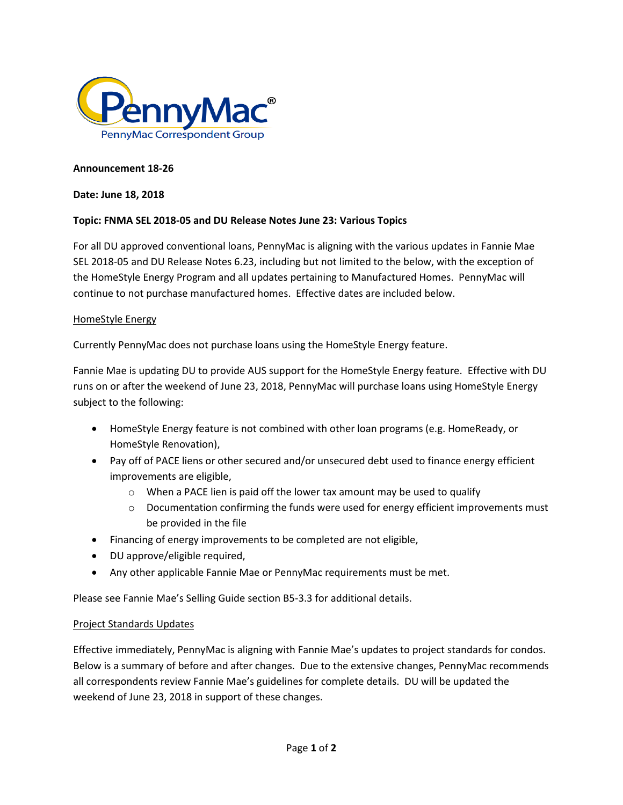

### **Announcement 18-26**

#### **Date: June 18, 2018**

## **Topic: FNMA SEL 2018-05 and DU Release Notes June 23: Various Topics**

For all DU approved conventional loans, PennyMac is aligning with the various updates in Fannie Mae SEL 2018-05 and DU Release Notes 6.23, including but not limited to the below, with the exception of the HomeStyle Energy Program and all updates pertaining to Manufactured Homes. PennyMac will continue to not purchase manufactured homes. Effective dates are included below.

### HomeStyle Energy

Currently PennyMac does not purchase loans using the HomeStyle Energy feature.

Fannie Mae is updating DU to provide AUS support for the HomeStyle Energy feature. Effective with DU runs on or after the weekend of June 23, 2018, PennyMac will purchase loans using HomeStyle Energy subject to the following:

- HomeStyle Energy feature is not combined with other loan programs (e.g. HomeReady, or HomeStyle Renovation),
- Pay off of PACE liens or other secured and/or unsecured debt used to finance energy efficient improvements are eligible,
	- o When a PACE lien is paid off the lower tax amount may be used to qualify
	- $\circ$  Documentation confirming the funds were used for energy efficient improvements must be provided in the file
- Financing of energy improvements to be completed are not eligible,
- DU approve/eligible required,
- Any other applicable Fannie Mae or PennyMac requirements must be met.

Please see Fannie Mae's Selling Guide section B5-3.3 for additional details.

## Project Standards Updates

Effective immediately, PennyMac is aligning with Fannie Mae's updates to project standards for condos. Below is a summary of before and after changes. Due to the extensive changes, PennyMac recommends all correspondents review Fannie Mae's guidelines for complete details. DU will be updated the weekend of June 23, 2018 in support of these changes.